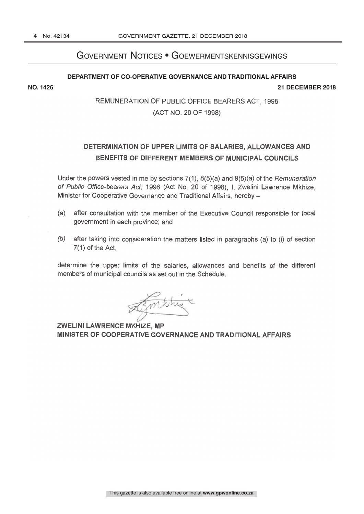# Government Notices • Goewermentskennisgewings

#### **DEPARTMENT OF CO-OPERATIVE GOVERNANCE AND TRADITIONAL AFFAIRS**

**NO. 1426 21 DECEMBER 2018**

# REMUNERATION OF PUBLIC OFFICE BEARERS ACT, 1998 (ACT NO. 20 OF 1998)

# DETERMINATION OF UPPER LIMITS OF SALARIES, ALLOWANCES AND BENEFITS OF DIFFERENT MEMBERS OF MUNICIPAL COUNCILS

Under the powers vested in me by sections 7(1), 8(5)(a) and 9(5)(a) of the Remuneration of Public Office-bearers Act, 1998 (Act No. 20 of 1998), I, Zwelini Lawrence Mkhize, Minister for Cooperative Governance and Traditional Affairs, hereby

- (a) after consultation with the member of the Executive Council responsible for local government in each province; and
- (b) after taking into consideration the matters listed in paragraphs (a) to (i) of section 7(1) of the Act,

determine the upper limits of the salaries, allowances and benefits of the different members of municipal councils as set out in the Schedule.

Limiting

**ZWELINI LAWRENCE MKHIZE, MP** MINISTER OF COOPERATIVE GOVERNANCE AND TRADITIONAL AFFAIRS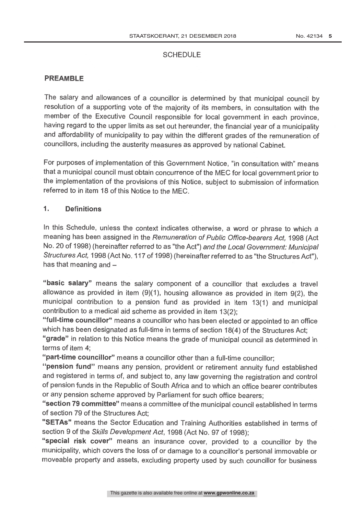#### **SCHEDULE**

#### PREAMBLE

The salary and allowances of a councillor is determined by that municipal council by resolution of a supporting vote of the majority of its members, in consultation with the member of the Executive Council responsible for local government in each province, having regard to the upper limits as set out hereunder, the financial year of a municipality and affordability of municipality to pay within the different grades of the remuneration of councillors, including the austerity measures as approved by national Cabinet.

For purposes of implementation of this Government Notice, "in consultation with" means that a municipal council must obtain concurrence of the MEC for local government prior to the implementation of the provisions of this Notice, subject to submission of information referred to in item 18 of this Notice to the MEC.

#### <sup>1</sup> Definitions

In this Schedule, unless the context indicates otherwise, a word or phrase to which a meaning has been assigned in the Remuneration of Public Office-bearers Act, 1998 (Act No. 20 of 1998) (hereinafter referred to as "the Act") and the Local Government: Municipal Structures Act, 1998 (Act No. 117 of 1998) (hereinafter referred to as "the Structures Act"), has that meaning and  $-$ 

"basic salary" means the salary component of a councillor that excludes a travel allowance as provided in item (9)(1), housing allowance as provided in item 9(2), the municipal contribution to a pension fund as provided in item 13(1) and municipal contribution to a medical aid scheme as provided in item 13(2);

"full-time councillor" means a councillor who has been elected or appointed to an office which has been designated as full-time in terms of section 18(4) of the Structures Act;

"grade" in relation to this Notice means the grade of municipal council as determined in terms of item 4;

"part-time councillor" means a councillor other than a full-time councillor;

"pension fund" means any pension, provident or retirement annuity fund established and registered in terms of, and subject to, any law governing the registration and control of pension funds in the Republic of South Africa and to which an office bearer contributes or any pension scheme approved by Parliament for such office bearers;

"section 79 committee" means a committee of the municipal council established in terms of section 79 of the Structures Act;

"SETAs" means the Sector Education and Training Authorities established in terms of section 9 of the Skills Development Act, 1998 (Act No. 97 of 1998);

"special risk cover" means an insurance cover, provided to a councillor by the municipality, which covers the loss of or damage to a councillor's personal immovable or moveable property and assets, excluding property used by such councillor for business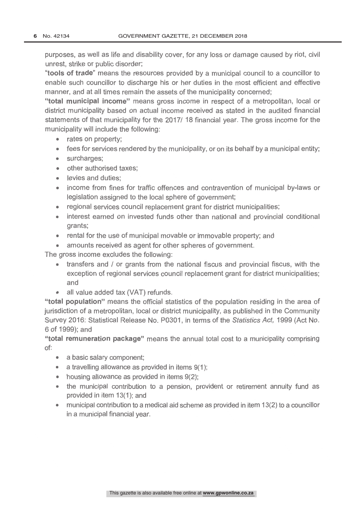purposes, as well as life and disability cover, for any loss or damage caused by riot, civil unrest, strike or public disorder;

"tools of trade" means the resources provided by a municipal council to a councillor to enable such councillor to discharge his or her duties in the most efficient and effective manner, and at all times remain the assets of the municipality concerned;

"total municipal income" means gross income in respect of a metropolitan, local or district municipality based on actual income received as stated in the audited financial statements of that municipality for the 2017/ 18 financial year. The gross income for the municipality will include the following:

- rates on property;  $\bullet$
- fees for services rendered by the municipality, or on its behalf by a municipal entity;
- surcharges:  $\bullet$
- other authorised taxes:
- levies and duties:
- income from fines for traffic offences and contravention of municipal by-laws or legislation assigned to the local sphere of government;
- regional services council replacement grant for district municipalities;  $\bullet$
- interest earned on invested funds other than national and provincial conditional  $\blacksquare$ grants;
- rental for the use of municipal movable or immovable property; and
- amounts received as agent for other spheres of government.

The gross income excludes the following:

- transfers and / or grants from the national fiscus and provincial fiscus, with the exception of regional services council replacement grant for district municipalities; and
- all value added tax (VAT) refunds.  $\bullet$

"total population" means the official statistics of the population residing in the area of jurisdiction of a metropolitan, local or district municipality, as published in the Community Survey 2016: Statistical Release No. P0301, in terms of the Statistics Act, 1999 (Act No. 6 of 1999); and

"total remuneration package" means the annual total cost to a municipality comprising of:

- a basic salary component;
- $\bullet$  a travelling allowance as provided in items  $9(1)$ ;
- housing allowance as provided in items  $9(2)$ ;
- the municipal contribution to a pension, provident or retirement annuity fund as provided in item 13(1); and
- municipal contribution to a medical aid scheme as provided in item 13(2) to a councillor  $\bullet$ in a municipal financial year.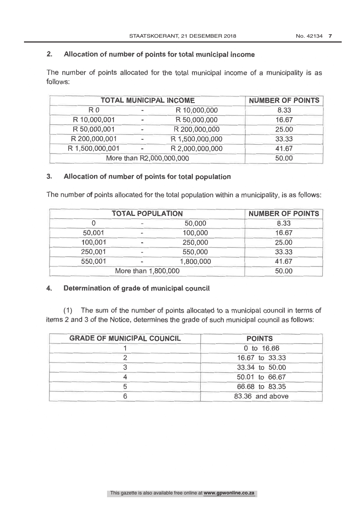## 2. Allocation of number of points for total municipal income

The number of points allocated for the total municipal income of a municipality is as follows:

|                 |                          | <b>TOTAL MUNICIPAL INCOME</b> | <b>NUMBER OF POINTS</b> |
|-----------------|--------------------------|-------------------------------|-------------------------|
| R <sub>0</sub>  | $\sim$                   | R 10,000,000                  | 8.33                    |
| R 10,000,001    | $\sim$                   | R 50,000,000                  | 16.67                   |
| R 50,000,001    | m.                       | R 200,000,000                 | 25.00                   |
| R 200,000,001   | $\rightarrow$            | R 1,500,000,000               | 33.33                   |
| R 1,500,000,001 | $\overline{\phantom{a}}$ | R 2,000,000,000               | 41.67                   |
|                 |                          | More than R2,000,000,000      | 50.00                   |

### 3. Allocation of number of points for total population

The number of points allocated for the total population within a municipality, is as follows:

|         | <b>TOTAL POPULATION</b> |           | <b>NUMBER OF POINTS</b> |
|---------|-------------------------|-----------|-------------------------|
|         |                         | 50,000    | 8.33                    |
| 50,001  |                         | 100,000   | 16.67                   |
| 100,001 | $\sim$                  | 250,000   | 25.00                   |
| 250,001 |                         | 550,000   | 33.33                   |
| 550,001 | $\blacksquare$          | 1,800,000 | 41.67                   |
|         | More than 1,800,000     |           | 50.00                   |

## 4. Determination of grade of municipal council

(1) The sum of the number of points allocated to a municipal council in terms of items 2 and 3 of the Notice, determines the grade of such municipal council as follows:

| <b>GRADE OF MUNICIPAL COUNCIL</b> | <b>POINTS</b>   |
|-----------------------------------|-----------------|
|                                   | 0 to 16.66      |
|                                   | 16.67 to 33.33  |
|                                   | 33.34 to 50.00  |
|                                   | 50.01 to 66.67  |
|                                   | 66.68 to 83.35  |
|                                   | 83.36 and above |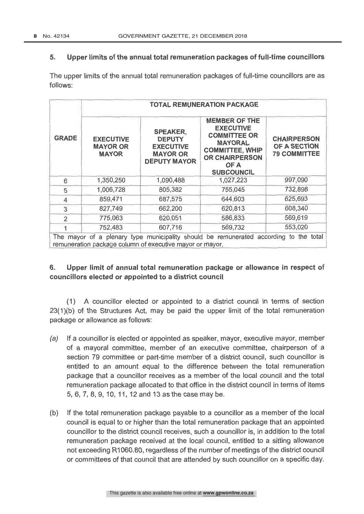#### 5. Upper limits of the annual total remuneration packages of full -time councillors

The upper limits of the annual total remuneration packages of full-time councillors are as follows:

|                | <b>TOTAL REMUNERATION PACKAGE</b>                   |                                                                                                |                                                                                                                                                                   |                                                           |  |
|----------------|-----------------------------------------------------|------------------------------------------------------------------------------------------------|-------------------------------------------------------------------------------------------------------------------------------------------------------------------|-----------------------------------------------------------|--|
| <b>GRADE</b>   | <b>EXECUTIVE</b><br><b>MAYOR OR</b><br><b>MAYOR</b> | <b>SPEAKER,</b><br><b>DEPUTY</b><br><b>EXECUTIVE</b><br><b>MAYOR OR</b><br><b>DEPUTY MAYOR</b> | <b>MEMBER OF THE</b><br><b>EXECUTIVE</b><br><b>COMMITTEE OR</b><br><b>MAYORAL</b><br><b>COMMITTEE, WHIP</b><br><b>OR CHAIRPERSON</b><br>OF A<br><b>SUBCOUNCIL</b> | <b>CHAIRPERSON</b><br>OF A SECTION<br><b>79 COMMITTEE</b> |  |
| 6              | 1,350,250                                           | 1,090,488                                                                                      | 1,027,223                                                                                                                                                         | 997,090                                                   |  |
| 5              | 1,006,728                                           | 805,382                                                                                        | 755,045                                                                                                                                                           | 732,898                                                   |  |
| 4              | 859,471                                             | 687,575                                                                                        | 644,603                                                                                                                                                           | 625,693                                                   |  |
| 3              | 827,749                                             | 662,200                                                                                        | 620,813                                                                                                                                                           | 608,340                                                   |  |
| $\overline{2}$ | 775,063                                             | 620,051                                                                                        | 586,833                                                                                                                                                           | 569,619                                                   |  |
|                | 752,483                                             | 607,716                                                                                        | 569,732                                                                                                                                                           | 553,020                                                   |  |

# 6. Upper limit of annual total remuneration package or allowance in respect of councillors elected or appointed to a district council

(1) A councillor elected or appointed to a district council in terms of section 23(1)(b) of the Structures Act, may be paid the upper limit of the total remuneration package or allowance as follows:

- (a) If a councillor is elected or appointed as speaker, mayor, executive mayor, member of a mayoral committee, member of an executive committee, chairperson of a section 79 committee or part-time member of a district council, such councillor is entitled to an amount equal to the difference between the total remuneration package that a councillor receives as a member of the local council and the total remuneration package allocated to that office in the district council in terms of items 5, 6, 7, 8, 9, 10, 11, 12 and 13 as the case may be.
- (b) If the total remuneration package payable to a councillor as a member of the local council is equal to or higher than the total remuneration package that an appointed councillor to the district council receives, such a councillor is, in addition to the total remuneration package received at the local council, entitled to a sitting allowance not exceeding R1060.80, regardless of the number of meetings of the district council or committees of that council that are attended by such councillor on a specific day.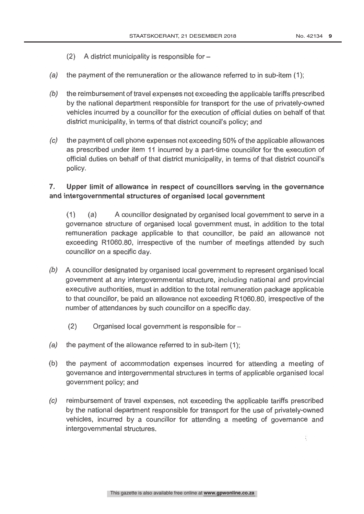- (2) A district municipality is responsible for  $-$
- (a) the payment of the remuneration or the allowance referred to in sub -item (1);
- $(b)$  the reimbursement of travel expenses not exceeding the applicable tariffs prescribed by the national department responsible for transport for the use of privately-owned vehicles incurred by a councillor for the execution of official duties on behalf of that district municipality, in terms of that district council's policy; and
- (c) the payment of cell phone expenses not exceeding 50% of the applicable allowances as prescribed under item 11 incurred by a part-time councillor for the execution of official duties on behalf of that district municipality, in terms of that district council's policy.

# 7. Upper limit of allowance in respect of councillors serving in the governance and intergovernmental structures of organised local government

(1) (a) A councillor designated by organised local government to serve in <sup>a</sup> governance structure of organised local government must, in addition to the total remuneration package applicable to that councillor, be paid an allowance not exceeding R1060.80, irrespective of the number of meetings attended by such councillor on a specific day.

- (b) A councillor designated by organised local government to represent organised local government at any intergovernmental structure, including national and provincial executive authorities, must in addition to the total remuneration package applicable to that councillor, be paid an allowance not exceeding R1060.80, irrespective of the number of attendances by such councillor on a specific day.
	- $(2)$  Organised local government is responsible for  $-$
- (*a)* the payment of the allowance referred to in sub-item (1);
- (b) the payment of accommodation expenses incurred for attending a meeting of governance and intergovernmental structures in terms of applicable organised local government policy; and
- (c) reimbursement of travel expenses, not exceeding the applicable tariffs prescribed by the national department responsible for transport for the use of privately -owned vehicles, incurred by a councillor for attending a meeting of governance and intergovernmental structures.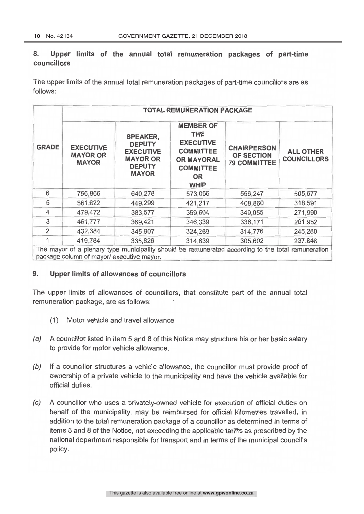# 8. Upper limits of the annual total remuneration packages of part-time councillors

The upper limits of the annual total remuneration packages of part -time councillors are as follows:

| <b>GRADE</b> | <b>EXECUTIVE</b><br><b>MAYOR OR</b><br><b>MAYOR</b> | <b>SPEAKER,</b><br><b>DEPUTY</b><br><b>EXECUTIVE</b><br><b>MAYOR OR</b><br><b>DEPUTY</b><br><b>MAYOR</b> | <b>MEMBER OF</b><br><b>THE</b><br><b>EXECUTIVE</b><br><b>COMMITTEE</b><br><b>OR MAYORAL</b><br><b>COMMITTEE</b><br><b>OR</b><br><b>WHIP</b> | <b>CHAIRPERSON</b><br><b>OF SECTION</b><br><b>79 COMMITTEE</b> | <b>ALL OTHER</b><br><b>COUNCILLORS</b> |
|--------------|-----------------------------------------------------|----------------------------------------------------------------------------------------------------------|---------------------------------------------------------------------------------------------------------------------------------------------|----------------------------------------------------------------|----------------------------------------|
| 6            | 756,866                                             | 640,278                                                                                                  | 573,056                                                                                                                                     | 556,247                                                        | 505,677                                |
| 5            | 561,622                                             | 449,299                                                                                                  | 421,217                                                                                                                                     | 408,860                                                        | 318,591                                |
| 4            | 479,472                                             | 383,577                                                                                                  | 359,604                                                                                                                                     | 349,055                                                        | 271,990                                |
| 3            | 461,777                                             | 369,421                                                                                                  | 346,339                                                                                                                                     | 336,171                                                        | 261,952                                |
| 2            | 432,384                                             | 345,907                                                                                                  | 324,289                                                                                                                                     | 314,776                                                        | 245,280                                |
|              | 419,784                                             | 335,826                                                                                                  | 314,839                                                                                                                                     | 305,602                                                        | 237,846                                |

#### 9. Upper limits of allowances of councillors

The upper limits of allowances of councillors, that constitute part of the annual total remuneration package, are as follows:

- (1) Motor vehicle and travel allowance
- (a) A councillor listed in item 5 and 8 of this Notice may structure his or her basic salary to provide for motor vehicle allowance.
- $(b)$  If a councillor structures a vehicle allowance, the councillor must provide proof of ownership of a private vehicle to the municipality and have the vehicle available for official duties.
- (c) A councillor who uses a privately -owned vehicle for execution of official duties on behalf of the municipality, may be reimbursed for official kilometres travelled, in addition to the total remuneration package of a councillor as determined in terms of items 5 and 8 of the Notice, not exceeding the applicable tariffs as prescribed by the national department responsible for transport and in terms of the municipal council's policy.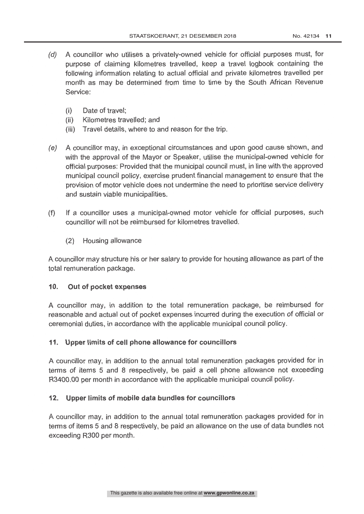- (d) A councillor who utilises a privately -owned vehicle for official purposes must, for purpose of claiming kilometres travelled, keep a travel logbook containing the following information relating to actual official and private kilometres travelled per month as may be determined from time to time by the South African Revenue Service:
	- (i) Date of travel;
	- (ii) Kilometres travelled; and
	- (iii) Travel details, where to and reason for the trip.
- (e) A councillor may, in exceptional circumstances and upon good cause shown, and with the approval of the Mayor or Speaker, utilise the municipal-owned vehicle for official purposes: Provided that the municipal council must, in line with the approved municipal council policy, exercise prudent financial management to ensure that the provision of motor vehicle does not undermine the need to prioritise service delivery and sustain viable municipalities.
- (f) If a councillor uses a municipal -owned motor vehicle for official purposes, such councillor will not be reimbursed for kilometres travelled
	- (2) Housing allowance

A councillor may structure his or her salary to provide for housing allowance as part of the total remuneration package.

#### 10. Out of pocket expenses

A councillor may, in addition to the total remuneration package, be reimbursed for reasonable and actual out of pocket expenses incurred during the execution of official or ceremonial duties, in accordance with the applicable municipal council policy.

#### 11. Upper limits of cell phone allowance for councillors

A councillor may, in addition to the annual total remuneration packages provided for in terms of items 5 and 8 respectively, be paid a cell phone allowance not exceeding R3400.00 per month in accordance with the applicable municipal council policy

#### 12. Upper limits of mobile data bundles for councillors

A councillor may, in addition to the annual total remuneration packages provided for in terms of items 5 and 8 respectively, be paid an allowance on the use of data bundles not exceeding R300 per month.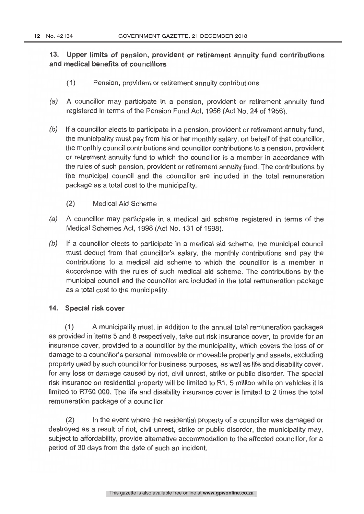# 13. Upper limits of pension, provident or retirement annuity fund contributions and medical benefits of councillors

- (1) Pension, provident or retirement annuity contributions
- (a) A councillor may participate in a pension, provident or retirement annuity fund registered in terms of the Pension Fund Act, 1956 (Act No. 24 of 1956).
- $(b)$  If a councillor elects to participate in a pension, provident or retirement annuity fund, the municipality must pay from his or her monthly salary, on behalf of that councillor, the monthly council contributions and or retirement annuity fund to which the councillor is a member in accordance with the rules of such pension, provident or retirement annuity fund. The contributions by the municipal council and the councillor are included in the total remuneration package as a total cost to the municipality
	- (2) Medical Aid Scheme
- (a) A councillor may participate in a medical aid scheme registered in terms of the Medical Schemes Act, 1998 (Act No. 131 of 1998).
- (b) If a councillor elects to participate in a medical aid scheme, the municipal council must deduct from that councillor's salary, the monthly contributions and pay the contributions to a medical aid scheme to which the councillor is a member in municipal council and the councillor are included in the total remuneration package as a total cost to the municipality.

#### 14. Special risk cover

(1) A municipality must, in addition to the annual total remuneration packages as provided in items 5 and 8 respectively, take out risk insurance cover, to provide for an insurance cover, provided to a councillor by the municipality, which covers the loss of or damage to a councillor's personal immovable or moveable property and assets, excluding<br>property used by such councillor for business purposes, as well as life and disability cover. for any loss or damage caused by riot, civil unrest, strike or public disorder. The special risk insurance on residential property will be limited to R1, 5 million while on vehicles it is limited to R750 000. The life and disability insurance cover is limited to 2 times the total remuneration package of a councillor.

(2) In the event where the residential property of a councillor was damaged or destroyed as a result of riot, civil unrest, strike or public disorder, the municipality may, subject to affordability, provide alternative accommodation to the affected councillor, for a period of 30 days from the date of such an incident.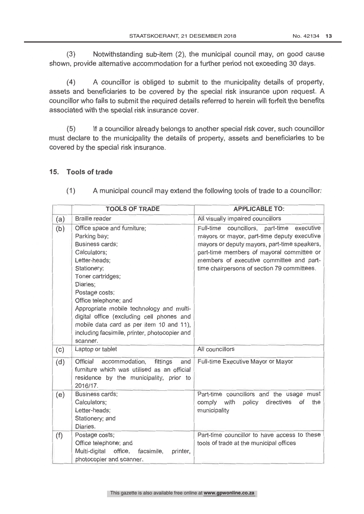(3) Notwithstanding sub -item (2), the municipal council may, on good cause shown, provide alternative accommodation for a further period not exceeding 30 days.

(4) A councillor is obliged to submit to the municipality details of property, assets and beneficiaries to be covered by the special risk insurance upon request. A councillor who fails to submit the required details referred to herein will forfeit the benefits associated with the special risk insurance cover.

(5) If a councillor already belongs to another special risk cover, such councillor must declare to the municipality the details of property, assets and beneficiaries to be covered by the special risk insurance.

### 15. Tools of trade

|            | <b>TOOLS OF TRADE</b>                                                                                                                                                                                                                                                                                                                                                                        | <b>APPLICABLE TO:</b>                                                                                                                                                                                                                                                                |
|------------|----------------------------------------------------------------------------------------------------------------------------------------------------------------------------------------------------------------------------------------------------------------------------------------------------------------------------------------------------------------------------------------------|--------------------------------------------------------------------------------------------------------------------------------------------------------------------------------------------------------------------------------------------------------------------------------------|
| (a)        | <b>Braille reader</b>                                                                                                                                                                                                                                                                                                                                                                        | All visually impaired councillors                                                                                                                                                                                                                                                    |
| (b)        | Office space and furniture;<br>Parking bay;<br>Business cards;<br>Calculators;<br>Letter-heads;<br>Stationery;<br>Toner cartridges;<br>Diaries;<br>Postage costs;<br>Office telephone; and<br>Appropriate mobile technology and multi-<br>digital office (excluding cell phones and<br>mobile data card as per item 10 and 11),<br>including facsimile, printer, photocopier and<br>scanner. | Full-time councillors, part-time<br>executive<br>mayors or mayor, part-time deputy executive<br>mayors or deputy mayors, part-time speakers,<br>part-time members of mayoral committee or<br>members of executive committee and part-<br>time chairpersons of section 79 committees. |
| (c)<br>(d) | Laptop or tablet<br>Official<br>accommodation,<br>fittings<br>and<br>furniture which was utilised as an official<br>residence by the municipality, prior to<br>2016/17.                                                                                                                                                                                                                      | All councillors<br>Full-time Executive Mayor or Mayor                                                                                                                                                                                                                                |
| (e)        | Business cards;<br>Calculators;<br>Letter-heads;<br>Stationery; and<br>Diaries.                                                                                                                                                                                                                                                                                                              | Part-time councillors and the usage must<br>comply with<br>directives<br>policy<br>of<br>the<br>municipality                                                                                                                                                                         |
| (f)        | Postage costs;<br>Office telephone; and<br>Multi-digital<br>office,<br>facsimile,<br>printer,<br>photocopier and scanner.                                                                                                                                                                                                                                                                    | Part-time councillor to have access to these<br>tools of trade at the municipal offices                                                                                                                                                                                              |

(1) A municipal council may extend the following tools of trade to a councillor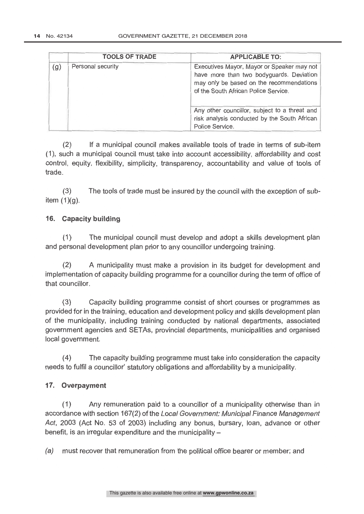|     | <b>TOOLS OF TRADE</b> | <b>APPLICABLE TO:</b>                                                                                                                                                      |  |  |
|-----|-----------------------|----------------------------------------------------------------------------------------------------------------------------------------------------------------------------|--|--|
| (g) | Personal security     | Executives Mayor, Mayor or Speaker may not<br>have more than two bodyguards. Deviation<br>may only be based on the recommendations<br>of the South African Police Service. |  |  |
|     |                       | Any other councillor, subject to a threat and<br>risk analysis conducted by the South African<br>Police Service.                                                           |  |  |

(2) If a municipal council makes available tools of trade in terms of sub -item (1), such a municipal council must take into account accessibility, affordability and cost control, equity, flexibility, simplicity, transparency, accountability and value of tools of trade.

(3) The tools of trade must be insured by the council with the exception of subitem  $(1)(q)$ .

## 16. Capacity building

(1) The municipal council must develop and adopt a skills development plan and personal development plan prior to any councillor undergoing training.

(2) A municipality must make a provision in its budget for development and implementation of capacity building programme for a councillor during the term of office of that councillor.

(3) Capacity building programme consist of short courses or programmes as provided for in the training, education and development policy and skills development plan of the municipality, including training conducted by nati government agencies and SETAs, provincial departments, municipalities and organised local government.

(4) The capacity building programme must take into consideration the capacity needs to fulfil a councillor' statutory obligations and affordability by a municipality.

## 17. Overpayment

(1) Any remuneration paid to a councillor of a municipality otherwise than in accordance with section 167(2) of the Local Government: Municipal Finance Management Act, 2003 (Act No. 53 of 2003) including any bonus, bursary, loan, advance or other benefit, is an irregular expenditure and the municipality -

(a) must recover that remuneration from the political office bearer or member; and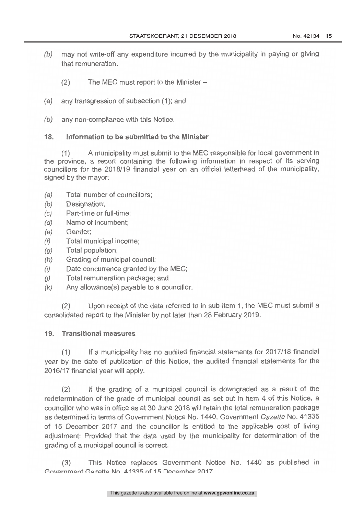- $(b)$  may not write-off any expenditure incurred by the municipality in paying or giving that remuneration.
	- $(2)$  The MEC must report to the Minister –
- (a) any transgression of subsection (1); and
- $(b)$  any non-compliance with this Notice.

#### 18. Information to be submitted to the Minister

(1) A municipality must submit to the MEC responsible for local government in the province, a report containing the following information in respect of its serving councillors for the 2018/19 financial year on an official

- (a) Total number of councillors;
- (b) Designation;
- (c) Part -time or full -time;
- (d) Name of incumbent;
- (e) Gender;
- $(f)$  Total municipal income;<br>(*a*) Total population:
- Total population;
- (h) Grading of municipal council;
- (i) Date concurrence granted by the MEC;<br>(i) Total remuneration package: and
- $(j)$  Total remuneration package; and  $(k)$  Any allowance(s) pavable to a com-
- Any allowance(s) payable to a councillor.

(2) Upon receipt of the data referred to in sub -item 1, the MEC must submit <sup>a</sup> consolidated report to the Minister by not later than 28 February 2019.

#### 19. Transitional measures

(1) If a municipality has no audited financial statements for 2017/18 financial year by the date of publication of this Notice, the audited financial statements for the 2016/17 financial year will apply.

(2) If the grading of a municipal council is downgraded as a result of the redetermination of the grade of municipal council as set out in item 4 of this Notice, a councillor who was in office as at 30 June 2018 will retain the total remuneration package<br>as determined in terms of Government Notice No. 1440, Government Gazette No. 41335 of 15 December 2017 and the councillor is entitled to the applicable cost of living adjustment: Provided that the data used by the municipality for determination of the grading of a municipal council is correct.

(3) This Notice replaces Government Notice No. 1440 as published in Government Gazette No. 41335 of 15 December 2017.